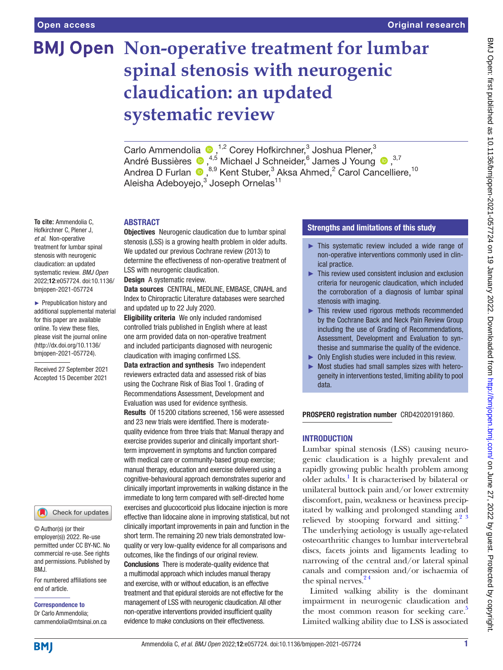**To cite:** Ammendolia C, Hofkirchner C, Plener J, *et al*. Non-operative treatment for lumbar spinal stenosis with neurogenic claudication: an updated systematic review. *BMJ Open* 2022;12:e057724. doi:10.1136/ bmjopen-2021-057724 ► Prepublication history and additional supplemental material for this paper are available online. To view these files, please visit the journal online [\(http://dx.doi.org/10.1136/](http://dx.doi.org/10.1136/bmjopen-2021-057724) [bmjopen-2021-057724](http://dx.doi.org/10.1136/bmjopen-2021-057724)). Received 27 September 2021 Accepted 15 December 2021

# **BMJ Open Non-operative treatment for lumbar spinal stenosis with neurogenic claudication: an updated systematic review**

Carlo Ammendolia <sup>1,2</sup> Corey Hofkirchner,<sup>3</sup> Joshua Plener,<sup>3</sup> André Bussières <sup>®</sup>,<sup>4,5</sup> Michael J Schneider,<sup>6</sup> James J Young <sup>®</sup>,<sup>3,7</sup> AndreaD Furlan  $\bigcirc$  ,  $^{8,9}$  Kent Stuber, <sup>3</sup> Aksa Ahmed, <sup>2</sup> Carol Cancelliere, <sup>10</sup> Aleisha Adeboyejo,<sup>3</sup> Joseph Ornelas<sup>11</sup>

#### ABSTRACT

**Objectives** Neurogenic claudication due to lumbar spinal stenosis (LSS) is a growing health problem in older adults. We updated our previous Cochrane review (2013) to determine the effectiveness of non-operative treatment of LSS with neurogenic claudication.

Design A systematic review.

Data sources CENTRAL, MEDLINE, EMBASE, CINAHL and Index to Chiropractic Literature databases were searched and updated up to 22 July 2020.

Eligibility criteria We only included randomised controlled trials published in English where at least one arm provided data on non-operative treatment and included participants diagnosed with neurogenic claudication with imaging confirmed LSS.

Data extraction and synthesis Two independent reviewers extracted data and assessed risk of bias using the Cochrane Risk of Bias Tool 1. Grading of Recommendations Assessment, Development and Evaluation was used for evidence synthesis. Results Of 15200 citations screened, 156 were assessed and 23 new trials were identified. There is moderatequality evidence from three trials that: Manual therapy and exercise provides superior and clinically important shortterm improvement in symptoms and function compared

with medical care or community-based group exercise; manual therapy, education and exercise delivered using a cognitive-behavioural approach demonstrates superior and clinically important improvements in walking distance in the immediate to long term compared with self-directed home exercises and glucocorticoid plus lidocaine injection is more effective than lidocaine alone in improving statistical, but not clinically important improvements in pain and function in the short term. The remaining 20 new trials demonstrated lowquality or very low-quality evidence for all comparisons and outcomes, like the findings of our original review.

Conclusions There is moderate-quality evidence that a multimodal approach which includes manual therapy and exercise, with or without education, is an effective treatment and that epidural steroids are not effective for the management of LSS with neurogenic claudication. All other non-operative interventions provided insufficient quality evidence to make conclusions on their effectiveness.

#### Strengths and limitations of this study

- ► This systematic review included a wide range of non-operative interventions commonly used in clinical practice.
- ► This review used consistent inclusion and exclusion criteria for neurogenic claudication, which included the corroboration of a diagnosis of lumbar spinal stenosis with imaging.
- ► This review used rigorous methods recommended by the Cochrane Back and Neck Pain Review Group including the use of Grading of Recommendations, Assessment, Development and Evaluation to synthesise and summarise the quality of the evidence.
- ► Only English studies were included in this review.
- ► Most studies had small samples sizes with heterogeneity in interventions tested, limiting ability to pool data.

PROSPERO registration number CRD42020191860.

#### **INTRODUCTION**

Lumbar spinal stenosis (LSS) causing neurogenic claudication is a highly prevalent and rapidly growing public health problem among older adults.<sup>1</sup> It is characterised by bilateral or unilateral buttock pain and/or lower extremity discomfort, pain, weakness or heaviness precipitated by walking and prolonged standing and relieved by stooping forward and sitting. $2^{3}$ The underlying aetiology is usually age-related osteoarthritic changes to lumbar intervertebral discs, facets joints and ligaments leading to narrowing of the central and/or lateral spinal canals and compression and/or ischaemia of the spinal nerves. $24$ 

Limited walking ability is the dominant impairment in neurogenic claudication and the most common reason for seeking care.<sup>5</sup> Limited walking ability due to LSS is associated

**BMI** 

end of article.

BMJ.

Correspondence to Dr Carlo Ammendolia; cammendolia@mtsinai.on.ca

© Author(s) (or their employer(s)) 2022. Re-use permitted under CC BY-NC. No commercial re-use. See rights and permissions. Published by

For numbered affiliations see

Check for updates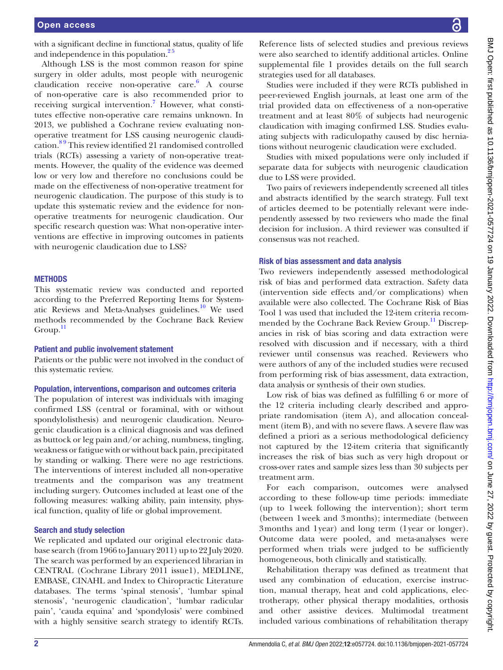with a significant decline in functional status, quality of life and independence in this population. $2<sup>5</sup>$ 

Although LSS is the most common reason for spine surgery in older adults, most people with neurogenic claudication receive non-operative care.<sup>6</sup> A course of non-operative care is also recommended prior to receiving surgical intervention.<sup>[7](#page-9-4)</sup> However, what constitutes effective non-operative care remains unknown. In 2013, we published a Cochrane review evaluating nonoperative treatment for LSS causing neurogenic claudication.[8 9](#page-9-5) This review identified 21 randomised controlled trials (RCTs) assessing a variety of non-operative treatments. However, the quality of the evidence was deemed low or very low and therefore no conclusions could be made on the effectiveness of non-operative treatment for neurogenic claudication. The purpose of this study is to update this systematic review and the evidence for nonoperative treatments for neurogenic claudication. Our specific research question was: What non-operative interventions are effective in improving outcomes in patients with neurogenic claudication due to LSS?

#### **METHODS**

This systematic review was conducted and reported according to the Preferred Reporting Items for Systematic Reviews and Meta-Analyses guidelines.<sup>10</sup> We used methods recommended by the Cochrane Back Review Group.<sup>[11](#page-9-7)</sup>

#### Patient and public involvement statement

Patients or the public were not involved in the conduct of this systematic review.

#### Population, interventions, comparison and outcomes criteria

The population of interest was individuals with imaging confirmed LSS (central or foraminal, with or without spondylolisthesis) and neurogenic claudication. Neurogenic claudication is a clinical diagnosis and was defined as buttock or leg pain and/or aching, numbness, tingling, weakness or fatigue with or without back pain, precipitated by standing or walking. There were no age restrictions. The interventions of interest included all non-operative treatments and the comparison was any treatment including surgery. Outcomes included at least one of the following measures: walking ability, pain intensity, physical function, quality of life or global improvement.

#### Search and study selection

We replicated and updated our original electronic database search (from 1966 to January 2011) up to 22 July 2020. The search was performed by an experienced librarian in CENTRAL (Cochrane Library 2011 issue1), MEDLINE, EMBASE, CINAHL and Index to Chiropractic Literature databases. The terms 'spinal stenosis', 'lumbar spinal stenosis', 'neurogenic claudication', 'lumbar radicular pain', 'cauda equina' and 'spondylosis' were combined with a highly sensitive search strategy to identify RCTs.

Reference lists of selected studies and previous reviews were also searched to identify additional articles. [Online](https://dx.doi.org/10.1136/bmjopen-2021-057724)  [supplemental file 1](https://dx.doi.org/10.1136/bmjopen-2021-057724) provides details on the full search strategies used for all databases.

Studies were included if they were RCTs published in peer-reviewed English journals, at least one arm of the trial provided data on effectiveness of a non-operative treatment and at least 80% of subjects had neurogenic claudication with imaging confirmed LSS. Studies evaluating subjects with radiculopathy caused by disc herniations without neurogenic claudication were excluded.

Studies with mixed populations were only included if separate data for subjects with neurogenic claudication due to LSS were provided.

Two pairs of reviewers independently screened all titles and abstracts identified by the search strategy. Full text of articles deemed to be potentially relevant were independently assessed by two reviewers who made the final decision for inclusion. A third reviewer was consulted if consensus was not reached.

#### Risk of bias assessment and data analysis

Two reviewers independently assessed methodological risk of bias and performed data extraction. Safety data (intervention side effects and/or complications) when available were also collected. The Cochrane Risk of Bias Tool 1 was used that included the 12-item criteria recommended by the Cochrane Back Review Group.<sup>11</sup> Discrepancies in risk of bias scoring and data extraction were resolved with discussion and if necessary, with a third reviewer until consensus was reached. Reviewers who were authors of any of the included studies were recused from performing risk of bias assessment, data extraction, data analysis or synthesis of their own studies.

Low risk of bias was defined as fulfilling 6 or more of the 12 criteria including clearly described and appropriate randomisation (item A), and allocation concealment (item B), and with no severe flaws. A severe flaw was defined a priori as a serious methodological deficiency not captured by the 12-item criteria that significantly increases the risk of bias such as very high dropout or cross-over rates and sample sizes less than 30 subjects per treatment arm.

For each comparison, outcomes were analysed according to these follow-up time periods: immediate (up to 1week following the intervention); short term (between 1week and 3months); intermediate (between 3months and 1year) and long term (1year or longer). Outcome data were pooled, and meta-analyses were performed when trials were judged to be sufficiently homogeneous, both clinically and statistically.

Rehabilitation therapy was defined as treatment that used any combination of education, exercise instruction, manual therapy, heat and cold applications, electrotherapy, other physical therapy modalities, orthosis and other assistive devices. Multimodal treatment included various combinations of rehabilitation therapy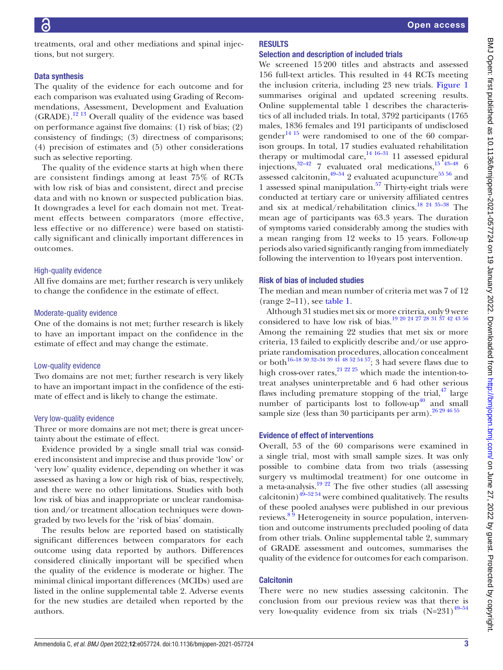treatments, oral and other mediations and spinal injections, but not surgery.

#### Data synthesis

The quality of the evidence for each outcome and for each comparison was evaluated using Grading of Recommendations, Assessment, Development and Evaluation (GRADE)[.12 13](#page-9-8) Overall quality of the evidence was based on performance against five domains: (1) risk of bias; (2) consistency of findings; (3) directness of comparisons; (4) precision of estimates and (5) other considerations such as selective reporting.

The quality of the evidence starts at high when there are consistent findings among at least 75% of RCTs with low risk of bias and consistent, direct and precise data and with no known or suspected publication bias. It downgrades a level for each domain not met. Treatment effects between comparators (more effective, less effective or no difference) were based on statistically significant and clinically important differences in outcomes.

#### High-quality evidence

All five domains are met; further research is very unlikely to change the confidence in the estimate of effect.

#### Moderate-quality evidence

One of the domains is not met; further research is likely to have an important impact on the confidence in the estimate of effect and may change the estimate.

#### Low-quality evidence

Two domains are not met; further research is very likely to have an important impact in the confidence of the estimate of effect and is likely to change the estimate.

#### Very low-quality evidence

Three or more domains are not met; there is great uncertainty about the estimate of effect.

Evidence provided by a single small trial was considered inconsistent and imprecise and thus provide 'low' or 'very low' quality evidence, depending on whether it was assessed as having a low or high risk of bias, respectively, and there were no other limitations. Studies with both low risk of bias and inappropriate or unclear randomisation and/or treatment allocation techniques were downgraded by two levels for the 'risk of bias' domain.

The results below are reported based on statistically significant differences between comparators for each outcome using data reported by authors. Differences considered clinically important will be specified when the quality of the evidence is moderate or higher. The minimal clinical important differences (MCIDs) used are listed in the [online supplemental table 2.](https://dx.doi.org/10.1136/bmjopen-2021-057724) Adverse events for the new studies are detailed when reported by the authors.

#### **RESULTS**

#### Selection and description of included trials

We screened 15200 titles and abstracts and assessed 156 full-text articles. This resulted in 44 RCTs meeting the inclusion criteria, including 23 new trials. [Figure](#page-3-0) 1 summarises original and updated screening results. [Online supplemental table 1](https://dx.doi.org/10.1136/bmjopen-2021-057724) describes the characteristics of all included trials. In total, 3792 participants (1765 males, 1836 females and 191 participants of undisclosed gender<sup>[14 15](#page-9-9)</sup> were randomised to one of the 60 comparison groups. In total, 17 studies evaluated rehabilitation therapy or multimodal care,<sup>[14 16–31](#page-9-9)</sup> 11 assessed epidural injections, $32-42$  7 evaluated oral medications,  $15-43-48$  6 assessed calcitonin, $49-54$  2 evaluated acupuncture<sup>55 56</sup> and 1 assessed spinal manipulation.<sup>57</sup> Thirty-eight trials were conducted at tertiary care or university affiliated centres and six at medical/rehabilitation clinics.[18 24 35–38](#page-10-4) The mean age of participants was 63.3 years. The duration of symptoms varied considerably among the studies with a mean ranging from 12 weeks to 15 years. Follow-up periods also varied significantly ranging from immediately following the intervention to 10years post intervention.

#### Risk of bias of included studies

The median and mean number of criteria met was 7 of 12 (range 2–11), see [table](#page-4-0) 1.

Although 31 studies met six or more criteria, only 9 were considered to have low risk of bias.[19 20 24 27 28 31 37 42 43 56](#page-10-5) Among the remaining 22 studies that met six or more criteria, 13 failed to explicitly describe and/or use appropriate randomisation procedures, allocation concealment or both<sup>16–18 30 32–34 39 41 48 52 54 57</sup>; 3 had severe flaws due to high cross-over rates,  $2^{1222}$  which made the intention-totreat analyses uninterpretable and 6 had other serious flaws including premature stopping of the trial, $47$  large number of participants lost to follow-up<sup>40</sup> and small sample size (less than 30 participants per arm).  $26\frac{294655}{5}$ 

#### Evidence of effect of interventions

Overall, 53 of the 60 comparisons were examined in a single trial, most with small sample sizes. It was only possible to combine data from two trials (assessing surgery vs multimodal treatment) for one outcome in a meta-analysis.[19 22](#page-10-5) The five other studies (all assessing calcitonin) $4^{6-52\,54}$  were combined qualitatively. The results of these pooled analyses were published in our previous reviews.<sup>89</sup> Heterogeneity in source population, intervention and outcome instruments precluded pooling of data from other trials. [Online supplemental table 2,](https://dx.doi.org/10.1136/bmjopen-2021-057724) summary of GRADE assessment and outcomes, summarises the quality of the evidence for outcomes for each comparison.

#### **Calcitonin**

There were no new studies assessing calcitonin. The conclusion from our previous review was that there is very low-quality evidence from six trials  $(N=231)^{49-54}$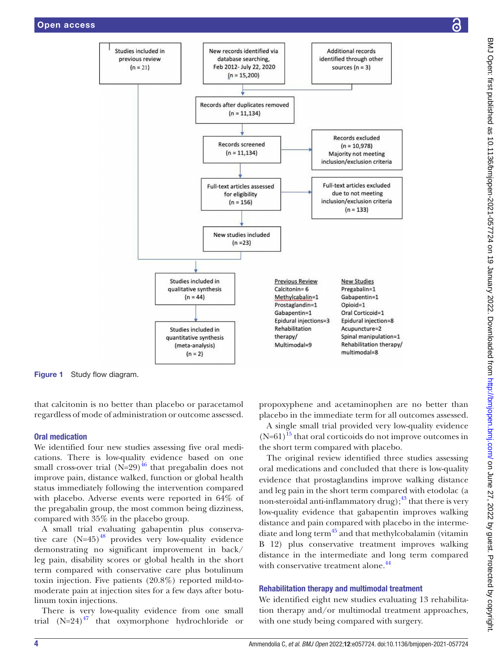

Figure 1 Study flow diagram.

that calcitonin is no better than placebo or paracetamol regardless of mode of administration or outcome assessed.

#### Oral medication

We identified four new studies assessing five oral medications. There is low-quality evidence based on one small cross-over trial  $(N=29)^{46}$  that pregabalin does not improve pain, distance walked, function or global health status immediately following the intervention compared with placebo. Adverse events were reported in 64% of the pregabalin group, the most common being dizziness, compared with 35% in the placebo group.

A small trial evaluating gabapentin plus conservative care  $(N=45)^{48}$  provides very low-quality evidence demonstrating no significant improvement in back/ leg pain, disability scores or global health in the short term compared with conservative care plus botulinum toxin injection. Five patients (20.8%) reported mild-tomoderate pain at injection sites for a few days after botulinum toxin injections.

There is very low-quality evidence from one small trial  $(N=24)^{47}$  that oxymorphone hydrochloride or

<span id="page-3-0"></span>propoxyphene and acetaminophen are no better than placebo in the immediate term for all outcomes assessed.

A single small trial provided very low-quality evidence  $(N=61)^{15}$  that oral corticoids do not improve outcomes in the short term compared with placebo.

The original review identified three studies assessing oral medications and concluded that there is low-quality evidence that prostaglandins improve walking distance and leg pain in the short term compared with etodolac (a non-steroidal anti-inflammatory drug); $^{43}$  that there is very low-quality evidence that gabapentin improves walking distance and pain compared with placebo in the interme-diate and long term<sup>[45](#page-10-13)</sup> and that methylcobalamin (vitamin B 12) plus conservative treatment improves walking distance in the intermediate and long term compared with conservative treatment alone.<sup>44</sup>

#### Rehabilitation therapy and multimodal treatment

We identified eight new studies evaluating 13 rehabilitation therapy and/or multimodal treatment approaches, with one study being compared with surgery.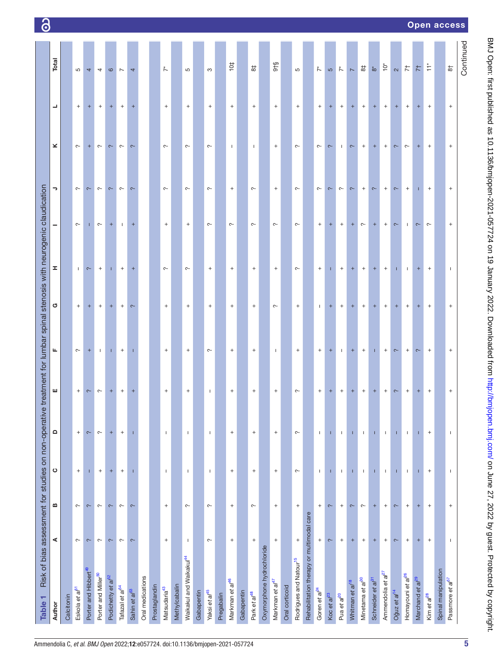<span id="page-4-0"></span>

| Risk of bias assessment for studies on non-operative treatment for lumbar spinal stenosis with neurogenic claudication<br>Table 1 |                 |                                  |                  |                                  |                                  |                                  |                                                     |                                  |                                  |                                  |                          |
|-----------------------------------------------------------------------------------------------------------------------------------|-----------------|----------------------------------|------------------|----------------------------------|----------------------------------|----------------------------------|-----------------------------------------------------|----------------------------------|----------------------------------|----------------------------------|--------------------------|
| ⋖<br>Author                                                                                                                       | m               | $\circ$                          | $\mathbf \Omega$ | ш                                | щ                                | G                                | I                                                   | $\overline{\phantom{a}}$         | ×                                | $\overline{\phantom{a}}$         | Total                    |
| Calcitonin                                                                                                                        |                 |                                  |                  |                                  |                                  |                                  |                                                     |                                  |                                  |                                  |                          |
| $\sim$<br>Eskola et al <sup>51</sup>                                                                                              | $\sim$          | $^+$                             | $\! + \!\!\!\!$  | $+$                              | $\sim$                           | $^{+}$                           | $\sim$<br>$\mathbf{L}$                              | $\sim$                           | $\sim$                           | $^{+}$                           | 5                        |
| $\sim$<br>Porter and Hibbert <sup>49</sup>                                                                                        | $\sim$          | T                                | $\sim$           | $\sim$                           | $\ddot{}$                        | $\ddot{}$                        | T<br>$\sim$                                         | $\sim$                           | $\begin{array}{c} + \end{array}$ | $\ddot{}$                        | 4                        |
| $\sim$<br>Porter and Miller <sup>50</sup>                                                                                         | $\sim$          | $\, +$                           | $\sim$           | $\sim$                           | $\mathbf{L}$                     | $^{+}$                           | $\sim$<br>$^{+}$                                    | $\sim$                           | $\sim$                           | $^{+}$                           | 4                        |
| $\sim$<br>Podichetty et al <sup>52</sup>                                                                                          | $\sim$          | $^{+}$                           | $^{+}$           | $\ddot{}$                        |                                  | $\begin{array}{c} + \end{array}$ | $\begin{array}{c} + \end{array}$                    | $\sim$                           | $\sim$                           | $^{+}$                           | $\circ$                  |
| $\sim$<br>Tafazal et al <sup>54</sup>                                                                                             | $\sim$          | $\begin{array}{c} + \end{array}$ | $^+$             | $^{+}$                           | $^{+}$                           | $^{+}$                           | $\mathbf{L}$<br>$\begin{array}{c} + \end{array}$    | $\sim$                           | $\sim$                           | $^{+}$                           | $\overline{ }$           |
| $\sim$<br>Sahin et al <sup>53</sup>                                                                                               | $\sim$          | п                                | п                | $^{+}$                           | п                                | $\sim$                           | $^{+}$<br>$^{+}$                                    | $\sim$                           | $\sim$                           | $^{+}$                           | 4                        |
| Oral medications                                                                                                                  |                 |                                  |                  |                                  |                                  |                                  |                                                     |                                  |                                  |                                  |                          |
| Prostaglandin                                                                                                                     |                 |                                  |                  |                                  |                                  |                                  |                                                     |                                  |                                  |                                  |                          |
| $\begin{array}{c} + \end{array}$<br>Matsudaria <sup>43</sup>                                                                      | $\! + \!\!\!\!$ | Τ.                               | $\mathbf{I}$     | $^{+}$                           | $\begin{array}{c} + \end{array}$ | $+$                              | $\begin{array}{c} + \end{array}$<br>$\sim$          | $\sim$                           | $\sim$                           | $\begin{array}{c} + \end{array}$ | Ť                        |
| Methylcabalin                                                                                                                     |                 |                                  |                  |                                  |                                  |                                  |                                                     |                                  |                                  |                                  |                          |
| $\mathsf I$<br>Waikakul and Waikakul <sup>44</sup>                                                                                | $\sim$          | $\mathsf I$                      | $\mathsf I$      | $\begin{array}{c} + \end{array}$ | $\! + \!\!\!\!$                  | $\! + \!\!\!\!$                  | $\! + \!\!\!\!$<br>$\sim$                           | $\sim$                           | $\sim$                           | $\! + \!\!\!\!$                  | 5                        |
| Gabapentin                                                                                                                        |                 |                                  |                  |                                  |                                  |                                  |                                                     |                                  |                                  |                                  |                          |
| Ç.<br>Yaksi et al <sup>45</sup>                                                                                                   | ç.              | $\mathsf I$                      | $\mathbf{I}$     | $\mathbf{I}$                     | ç.                               | $+$                              | $\sim$<br>$^{+}$                                    | ŀ                                | ç.                               | $^{+}$                           | S                        |
| Pregabalin                                                                                                                        |                 |                                  |                  |                                  |                                  |                                  |                                                     |                                  |                                  |                                  |                          |
| $^{\mathrm{+}}$<br>Markman et al <sup>46</sup>                                                                                    | $^+$            | $\begin{array}{c} + \end{array}$ | $^+$             | $^{+}$                           | $\begin{array}{c} + \end{array}$ | $^{+}$                           | $\sim$<br>$\! + \!\!\!\!$                           | $^+$                             | $\mathbf{I}$                     | $^+$                             | 101                      |
| Gabapentin                                                                                                                        |                 |                                  |                  |                                  |                                  |                                  |                                                     |                                  |                                  |                                  |                          |
| $\boldsymbol{+}$<br>Park et al <sup>48</sup>                                                                                      | $\sim$          | $\! + \!$                        | $\! + \!$        | $\! +$                           | $^+$                             | $\! + \!\!\!\!$                  | $\sim$<br>$^+$                                      | $\sim$                           | $\mathbf{I}$                     | $^+$                             | $^{\rm 1+}_{\rm 8}$      |
| Oxymorphone hydrochloride                                                                                                         |                 |                                  |                  |                                  |                                  |                                  |                                                     |                                  |                                  |                                  |                          |
| $^{\mathrm{+}}$<br>Markman et al <sup>47</sup>                                                                                    | $^{+}$          | $^+$                             | $^+$             | $^+$                             | $\mathsf I$                      | $\sim$                           | $\sim$<br>$^+$                                      | $^+$                             | $^+$                             | $^+$                             | $9+8$                    |
| Oral corticoid                                                                                                                    |                 |                                  |                  |                                  |                                  |                                  |                                                     |                                  |                                  |                                  |                          |
| $\, +$<br>Rodrigues and Natour <sup>15</sup>                                                                                      | $^{\mathrm{+}}$ | ç.                               | $\sim$           | $\sim$                           | $+$                              | $\begin{array}{c} + \end{array}$ | $\sim$<br>$\sim$                                    | $\sim$                           | $\sim$                           | $+$                              | 5                        |
| Rehabilitation therapy or multimodal care                                                                                         |                 |                                  |                  |                                  |                                  |                                  |                                                     |                                  |                                  |                                  |                          |
| $^+$<br>Goren et $a^{l^{24}}$                                                                                                     | $^+$            | $\mathsf I$                      | L                | $^{+}$                           | $+$                              | $\mathbf{I}$                     | $^{+}$<br>$^+$                                      | $\sim$                           | $\sim$                           | $+$                              | $\stackrel{*}{\sim}$     |
| $\sim$<br>Koc et al <sup>23</sup>                                                                                                 | $\sim$          | Т                                | т                | $\ddot{}$                        | $\begin{array}{c} + \end{array}$ | $^{+}$                           | $\ddot{}$<br>T                                      | $\sim$                           | $\sim$                           | $\begin{array}{c} + \end{array}$ | $\mathfrak{g}$           |
| $\boldsymbol{+}$<br>Pua et al <sup>20</sup>                                                                                       |                 | $\mathbf{I}$                     | $\mathbf{I}$     | $+$                              | $\mathbf{I}$                     | $\! + \!\!\!\!$                  | $^+$<br>$\! +$                                      | $\sim$                           | $\mathbf{I}$                     | $\! + \!\!\!\!$                  | $\stackrel{*}{\sim}$     |
| $^{+}$<br>Whitman et al <sup>18</sup>                                                                                             | $\sim$          | Т                                | п                | $\ddot{}$                        | $^{+}$                           | $^{+}$                           | $\ddot{}$<br>$\ddot{}$                              | $\sim$                           | $\sim$                           | $^{+}$                           | $\sim$                   |
| $^{\mathrm{+}}$<br>Minetama et al <sup>30</sup>                                                                                   | $\sim$          | $\mathbf I$                      | $\mathbf{I}$     | $^{+}$                           | $\! +$                           | $^{+}$                           | ç.<br>$^+$                                          | $^{+}$                           | $^+$                             | $\! + \!\!\!\!$                  | $^{\rm 3+}_{\rm 6}$      |
| $^{+}$<br>Schneider et al <sup>31</sup>                                                                                           | $^{+}$          | I                                | $\overline{1}$   | $\ddot{}$                        | T.                               | $^{+}$                           | $\ddot{}$<br>$\begin{array}{c} + \end{array}$       | $\sim$                           | $\begin{array}{c} + \end{array}$ | $\begin{array}{c} + \end{array}$ | $\stackrel{*}{\infty}$   |
| $\, +$<br>Ammendolia et al <sup>27</sup>                                                                                          | $^{\mathrm{+}}$ | L                                | $\mathbf{I}$     | $^{+}$                           | $^{+}$                           | $^+$                             | $\begin{array}{c} + \end{array}$<br>$^{\mathrm{+}}$ | $+$                              | $^+$                             | $^+$                             | $\sum_{i=1}^{k}$         |
| $\sim$<br>Oğuz et al <sup>14</sup>                                                                                                | $\sim$          |                                  |                  | $\sim$                           | $\sim$                           | $^{+}$                           | $\sim$                                              | $\sim$                           | $\sim$                           | $^{+}$                           | $\sim$                   |
| $^+$<br>Homayouni et al <sup>26</sup>                                                                                             | $\! + \!$       | $\mathsf I$                      | $\mathbf{I}$     | $+$                              | $+$                              | $+$                              | $\mathbf{I}$<br>$\mathbf{I}$                        | $+$                              | $\sim$                           | $+$                              | $\overline{\tau}$        |
| $^{+}$<br>Marchand et a <sup>/29</sup>                                                                                            | $^{+}$          | т                                | T                | $\ddot{}$                        | $\sim$                           | $\ddot{}$                        | $\sim$<br>$\ddot{}$                                 |                                  | $\ddot{}$                        | $^{+}$                           | $\overline{\sim}$        |
| $\, +$<br>Kim et al <sup>28</sup>                                                                                                 | $\, +$          | $\, +$                           | $^{\mathrm{+}}$  | $^{+}$                           | $^{+}$                           | $^{+}$                           | $\sim$<br>$^+$                                      | $\begin{array}{c} + \end{array}$ | $\begin{array}{c} + \end{array}$ | $\begin{array}{c} + \end{array}$ | $\frac{1}{\tau}$         |
| Spinal manipulation                                                                                                               |                 |                                  |                  |                                  |                                  |                                  |                                                     |                                  |                                  |                                  |                          |
| $\mathsf I$<br>Passmore et al <sup>57</sup>                                                                                       |                 | $\mathsf I$                      | $\mathsf I$      | $+$                              |                                  | $^+$                             | $\! + \!\!\!\!$<br>$\mathbf{I}$                     | $\begin{array}{c} + \end{array}$ | $\boldsymbol{+}$                 | $\! + \!\!\!\!$                  | $\overleftarrow{\infty}$ |

6

#### Open access

Continued

Continued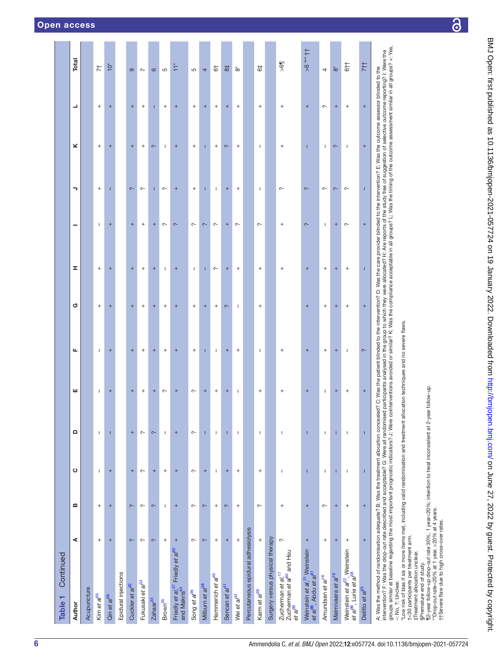$\overline{\partial}$ 

| Continued<br>Table 1                                                                                                                                                                                                                                                                                                                                                                                                                                                                                                                                                                                                                                                                                                                                                                                                                                                                       |                                  |                 |                |                                  |                 |                 |                 |              |                                 |                                  |                                                                                                                                                                                                                                   |
|--------------------------------------------------------------------------------------------------------------------------------------------------------------------------------------------------------------------------------------------------------------------------------------------------------------------------------------------------------------------------------------------------------------------------------------------------------------------------------------------------------------------------------------------------------------------------------------------------------------------------------------------------------------------------------------------------------------------------------------------------------------------------------------------------------------------------------------------------------------------------------------------|----------------------------------|-----------------|----------------|----------------------------------|-----------------|-----------------|-----------------|--------------|---------------------------------|----------------------------------|-----------------------------------------------------------------------------------------------------------------------------------------------------------------------------------------------------------------------------------|
| ⋖<br>Author                                                                                                                                                                                                                                                                                                                                                                                                                                                                                                                                                                                                                                                                                                                                                                                                                                                                                | m                                | ပ               | $\Omega$       | ш                                | щ               | σ               | Ŧ               | -            | <u>t</u>                        | ┙<br>×                           | Total                                                                                                                                                                                                                             |
| Acupuncture                                                                                                                                                                                                                                                                                                                                                                                                                                                                                                                                                                                                                                                                                                                                                                                                                                                                                |                                  |                 |                |                                  |                 |                 |                 |              |                                 |                                  |                                                                                                                                                                                                                                   |
| $^{+}$<br>Kim et al <sup>55</sup>                                                                                                                                                                                                                                                                                                                                                                                                                                                                                                                                                                                                                                                                                                                                                                                                                                                          | $\ddot{}$                        | $\mathbf{I}$    | $\mathbf{I}$   | $\mathbf{I}$                     | $\mathsf I$     | $^{+}$          | $\ddot{}$       | $\mathbf{I}$ | $\ddot{}$<br>$^{+}$             | $^{+}$                           | $\ddot{\tau}$                                                                                                                                                                                                                     |
| $\ddot{}$<br>Qin et al <sup>56</sup>                                                                                                                                                                                                                                                                                                                                                                                                                                                                                                                                                                                                                                                                                                                                                                                                                                                       | $^{+}$                           | $^{+}$          | $\overline{1}$ | $\ddot{}$                        | $\ddot{}$       | $\ddot{}$       | $\ddot{}$       | $^{+}$       | $^{+}$<br>п                     | $\ddot{}$                        | ÷°                                                                                                                                                                                                                                |
| Epidural injections                                                                                                                                                                                                                                                                                                                                                                                                                                                                                                                                                                                                                                                                                                                                                                                                                                                                        |                                  |                 |                |                                  |                 |                 |                 |              |                                 |                                  |                                                                                                                                                                                                                                   |
| $\sim$<br>Cuckler et al <sup>32</sup>                                                                                                                                                                                                                                                                                                                                                                                                                                                                                                                                                                                                                                                                                                                                                                                                                                                      | $\sim$                           | $^{+}$          | $^{+}$         | $^{+}$                           | $^{+}$          | $^{+}$          | $^{+}$          | $^{+}$       | $\ddot{}$<br>ĉ.                 | $^{+}$                           | ၜ                                                                                                                                                                                                                                 |
| $\sim$<br>Fukusaki et al <sup>34</sup>                                                                                                                                                                                                                                                                                                                                                                                                                                                                                                                                                                                                                                                                                                                                                                                                                                                     | $\sim$                           | $\sim$          | $\sim$         | $^{+}$                           | $^{+}$          | $^{+}$          | $\ddot{}$       | $^{+}$       | $^{+}$<br>$\sim$                | $\scriptstyle +$                 | $\overline{ }$                                                                                                                                                                                                                    |
| $\sim$<br>Zahaar <sup>33</sup>                                                                                                                                                                                                                                                                                                                                                                                                                                                                                                                                                                                                                                                                                                                                                                                                                                                             | $\sim$                           | $^{+}$          | $\sim$         | $\begin{array}{c} + \end{array}$ | $\ddot{}$       | $^{+}$          | $\ddot{}$       | $^{+}$       | $\sim$<br>т                     | П                                | $\circ$                                                                                                                                                                                                                           |
| $^+$<br>Brown <sup>35</sup>                                                                                                                                                                                                                                                                                                                                                                                                                                                                                                                                                                                                                                                                                                                                                                                                                                                                | $\mathbf{I}$                     | $+$             | T              | $\sim$                           | $\! + \!\!\!\!$ | $+$             | $\mathbf{L}$    | $\sim$       | $\mathbf{I}$<br>$\sim$          | $\! + \!\!\!\!$                  | 5                                                                                                                                                                                                                                 |
| $^{+}$<br>Friedly et al, <sup>37</sup> Friedly et al <sup>62</sup><br>and Makris <sup>64</sup>                                                                                                                                                                                                                                                                                                                                                                                                                                                                                                                                                                                                                                                                                                                                                                                             | $^{+}$                           | $\ddot{}$       | $\ddot{}$      | $\ddot{}$                        | $\ddot{}$       | $\ddot{}$       | $\ddot{}$       | $\sim$       | $\ddot{}$<br>$\ddot{}$          | $\ddot{}$                        | $\ddot{ }$                                                                                                                                                                                                                        |
| ç.<br>Song et al <sup>36</sup>                                                                                                                                                                                                                                                                                                                                                                                                                                                                                                                                                                                                                                                                                                                                                                                                                                                             | ç.                               | ç.              | ç.             | $\sim$                           | $^{+}$          | $\! + \!\!\!\!$ | $\mathbf{I}$    | $\sim$       | $^{+}$<br>$\! + \!\!\!\!$       | $\! + \!\!\!\!$                  | 5                                                                                                                                                                                                                                 |
| $\sim$<br>Milbum et a <sup>/38</sup>                                                                                                                                                                                                                                                                                                                                                                                                                                                                                                                                                                                                                                                                                                                                                                                                                                                       | $\sim$                           | $^{+}$          | П              | $\begin{array}{c} + \end{array}$ |                 | $\ddot{}$       | п               | $\sim$       | Т<br>п                          | $\begin{array}{c} + \end{array}$ | 4                                                                                                                                                                                                                                 |
| $^{+}$<br>Hammerich et al <sup>40</sup>                                                                                                                                                                                                                                                                                                                                                                                                                                                                                                                                                                                                                                                                                                                                                                                                                                                    | $^{+}$                           | $\mathbf{I}$    | T              | $^{+}$                           | I.              | $^{+}$          | $\sim$          | ç.           | $\! + \!\!\!\!$<br>$\mathbf{I}$ | $^{+}$                           | t5                                                                                                                                                                                                                                |
| $^{+}$<br>Sencan et a <sup>/41</sup>                                                                                                                                                                                                                                                                                                                                                                                                                                                                                                                                                                                                                                                                                                                                                                                                                                                       | $\sim$                           | $^{+}$          | I              | $\begin{array}{c} + \end{array}$ | $^{+}$          | $\sim$          | $^{+}$          | $^{+}$       | $\sim$<br>$^{+}$                | $\ddot{}$                        | $\overline{a}$                                                                                                                                                                                                                    |
| $^+$<br>Wei et al <sup>42</sup>                                                                                                                                                                                                                                                                                                                                                                                                                                                                                                                                                                                                                                                                                                                                                                                                                                                            | $^{+}$                           | $\! + \!\!\!\!$ | J.             | T.                               | $\! + \!\!\!\!$ | T.              | $\! + \!\!\!\!$ | $\sim$       | $^{+}$                          | $\! + \!\!\!\!$                  | ံထ                                                                                                                                                                                                                                |
| Percutaneous epidural adhesiolysis                                                                                                                                                                                                                                                                                                                                                                                                                                                                                                                                                                                                                                                                                                                                                                                                                                                         |                                  |                 |                |                                  |                 |                 |                 |              |                                 |                                  |                                                                                                                                                                                                                                   |
| $^+$<br>Karm et al <sup>39</sup>                                                                                                                                                                                                                                                                                                                                                                                                                                                                                                                                                                                                                                                                                                                                                                                                                                                           | ç.                               | $^{+}$          | 1              | $\! + \!\!\!\!$                  | $\mathbf{I}$    | $\! + \!\!\!\!$ | $\ddot{}$       | $\sim$       | $\mathbf{I}$<br>$\mathbf{I}$    | $^{+}$                           | 6‡                                                                                                                                                                                                                                |
| Surgery versus physical therapy                                                                                                                                                                                                                                                                                                                                                                                                                                                                                                                                                                                                                                                                                                                                                                                                                                                            |                                  |                 |                |                                  |                 |                 |                 |              |                                 |                                  |                                                                                                                                                                                                                                   |
| ç.<br>Zucherman et al <sup>60</sup> and Hsu<br>Zucherman et al, <sup>17</sup><br>et al <sup>59</sup>                                                                                                                                                                                                                                                                                                                                                                                                                                                                                                                                                                                                                                                                                                                                                                                       | $^{+}$                           | I               | J              | $^{+}$                           | $^{+}$          |                 | $^{+}$          | $^{+}$       | $^{+}$<br>$\sim$                | $^{+}$                           | 56                                                                                                                                                                                                                                |
| $^{+}$<br>Weinstein et al, <sup>21</sup> Weinstein<br>et al <sup>98</sup> , Abdu et al <sup>61</sup>                                                                                                                                                                                                                                                                                                                                                                                                                                                                                                                                                                                                                                                                                                                                                                                       | $^{+}$                           | т               | т              | $\ddot{}$                        | $\ddot{}$       | $\ddot{}$       | $\ddot{}$       | $\sim$       | $\sim$                          | $\ddot{}$                        | $+1$ *** 5<                                                                                                                                                                                                                       |
| $+$<br>Amundsen et al <sup>16</sup>                                                                                                                                                                                                                                                                                                                                                                                                                                                                                                                                                                                                                                                                                                                                                                                                                                                        | $\sim$                           | $\mathbf{I}$    | T              | $\mathsf{I}$                     | $^{+}$          | $\! + \!\!\!\!$ | $\ddot{}$       | $\mathsf{I}$ | $\mathsf{I}$<br>$\sim$          | $\sim$                           | 4                                                                                                                                                                                                                                 |
| $\begin{array}{c} + \end{array}$<br>Malmivaara et al <sup>19</sup>                                                                                                                                                                                                                                                                                                                                                                                                                                                                                                                                                                                                                                                                                                                                                                                                                         | $^{+}$                           |                 | т              | $\ddot{}$                        | $\ddot{}$       | $\ddot{}$       | $\ddot{}$       | $\ddot{}$    | $\sim$<br>$\sim$                | $\ddot{}$                        | $\stackrel{*}{\infty}$                                                                                                                                                                                                            |
| $^{+}$<br>Weinstein e <i>t al<sup>22</sup></i> , Weinstein<br>et al <sup>99</sup> , Lurie et al <sup>58</sup>                                                                                                                                                                                                                                                                                                                                                                                                                                                                                                                                                                                                                                                                                                                                                                              | $\begin{array}{c} + \end{array}$ | $\mathbf{I}$    | $\mathbf{I}$   | $\! + \!\!\!\!$                  | $\mathbf{I}$    |                 | $^{+}$          | $\sim$       | $\overline{1}$<br>ς.            | $\! + \!\!\!\!$                  | $6+$                                                                                                                                                                                                                              |
| $^{+}$<br>Delitto et al <sup>25</sup>                                                                                                                                                                                                                                                                                                                                                                                                                                                                                                                                                                                                                                                                                                                                                                                                                                                      | $\ddot{}$                        | т               | T              | $^{+}$                           | $\sim$          | $\ddot{}$       | т               | $^{+}$       | $^{+}$<br>т                     | $\begin{array}{c} + \end{array}$ | 7††                                                                                                                                                                                                                               |
| A: Was the method of randomisation adequate? B: Was the treation concealed? C: Was the patient blinded to the intervention? D: Was the care provider blinded to the intervention? E: Was the outcome assessor blinded to the<br>"Low risk of bias if six or more items met, including valid randomisation and treatment allocation techniques and no severe flaws.<br>12-year follow-up drop-out rate 30%, 1 year<20%; intention to treat inconsistent at 2-year follow-up<br>intervention? F: Was the drop-out rate described and acceptable? G: Were all randomis<br>groups similar at baseline regarding the most important prognostic indicators? J: Were<br>"Drop-out rate<20% at 1 year, >20% at 4 years.<br>ttSevere flaw due to high cross-over rates.<br>t<30 participants per treatment arm.<br>#Treatment allocation unclear.<br>§Premature end of study.<br>-: No, ?: Unclear. |                                  |                 |                |                                  |                 |                 |                 |              |                                 |                                  | sed participants analysed in the group to which they were allocated? H: Are reports of the study free of suggestion of selective outcome reporting? I: Were the<br>cointerventions avoided or similar? K: Was the compliance acce |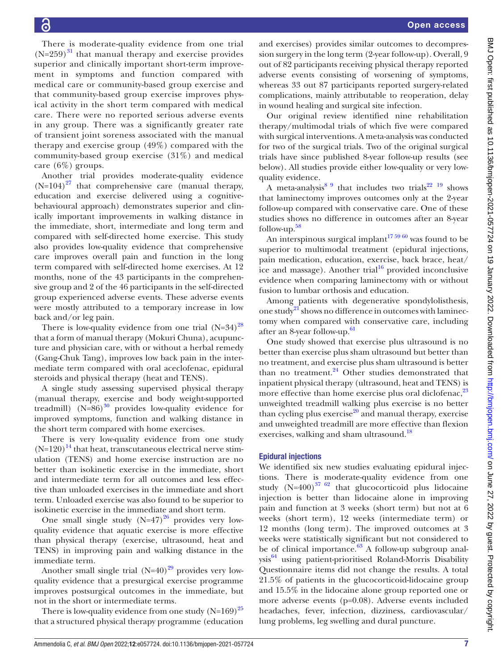Õ

There is moderate-quality evidence from one trial  $(N=259)^{31}$  $(N=259)^{31}$  $(N=259)^{31}$  that manual therapy and exercise provides superior and clinically important short-term improvement in symptoms and function compared with medical care or community-based group exercise and that community-based group exercise improves physical activity in the short term compared with medical care. There were no reported serious adverse events in any group. There was a significantly greater rate of transient joint soreness associated with the manual therapy and exercise group (49%) compared with the community-based group exercise (31%) and medical care (6%) groups.

Another trial provides moderate-quality evidence  $(N=104)^{27}$  that comprehensive care (manual therapy, education and exercise delivered using a cognitivebehavioural approach) demonstrates superior and clinically important improvements in walking distance in the immediate, short, intermediate and long term and compared with self-directed home exercise. This study also provides low-quality evidence that comprehensive care improves overall pain and function in the long term compared with self-directed home exercises. At 12 months, none of the 43 participants in the comprehensive group and 2 of the 46 participants in the self-directed group experienced adverse events. These adverse events were mostly attributed to a temporary increase in low back and/or leg pain.

There is low-quality evidence from one trial  $(N=34)^{28}$ that a form of manual therapy (Mokuri Chuna), acupuncture and physician care, with or without a herbal remedy (Gang-Chuk Tang), improves low back pain in the intermediate term compared with oral aceclofenac, epidural steroids and physical therapy (heat and TENS).

A single study assessing supervised physical therapy (manual therapy, exercise and body weight-supported treadmill)  $(N=86)^{30}$  provides low-quality evidence for improved symptoms, function and walking distance in the short term compared with home exercises.

There is very low-quality evidence from one study  $(N=120)^{14}$  that heat, transcutaneous electrical nerve stimulation (TENS) and home exercise instruction are no better than isokinetic exercise in the immediate, short and intermediate term for all outcomes and less effective than unloaded exercises in the immediate and short term. Unloaded exercise was also found to be superior to isokinetic exercise in the immediate and short term.

One small single study  $(N=47)^{26}$  $(N=47)^{26}$  $(N=47)^{26}$  provides very lowquality evidence that aquatic exercise is more effective than physical therapy (exercise, ultrasound, heat and TENS) in improving pain and walking distance in the immediate term.

Another small single trial  $(N=40)^{29}$  $(N=40)^{29}$  $(N=40)^{29}$  provides very lowquality evidence that a presurgical exercise programme improves postsurgical outcomes in the immediate, but not in the short or intermediate terms.

There is low-quality evidence from one study  $(N=169)^{25}$  $(N=169)^{25}$  $(N=169)^{25}$ that a structured physical therapy programme (education

and exercises) provides similar outcomes to decompression surgery in the long term (2-year follow-up). Overall, 9 out of 82 participants receiving physical therapy reported adverse events consisting of worsening of symptoms, whereas 33 out 87 participants reported surgery-related complications, mainly attributable to reoperation, delay in wound healing and surgical site infection.

Our original review identified nine rehabilitation therapy/multimodal trials of which five were compared with surgical interventions. A meta-analysis was conducted for two of the surgical trials. Two of the original surgical trials have since published 8-year follow-up results (see below). All studies provide either low-quality or very lowquality evidence.

A meta-analysis<sup>8 9</sup> that includes two trials<sup>22 [19](#page-10-5)</sup> shows that laminectomy improves outcomes only at the 2-year follow-up compared with conservative care. One of these studies shows no difference in outcomes after an 8-year follow-up. [58](#page-10-44)

An interspinous surgical implant<sup>[17 59 60](#page-9-12)</sup> was found to be superior to multimodal treatment (epidural injections, pain medication, education, exercise, back brace, heat/ ice and massage). Another trial $16$  provided inconclusive evidence when comparing laminectomy with or without fusion to lumbar orthosis and education.

Among patients with degenerative spondylolisthesis, one study<sup>21</sup> shows no difference in outcomes with laminectomy when compared with conservative care, including after an 8-year follow-up. [61](#page-10-42)

One study showed that exercise plus ultrasound is no better than exercise plus sham ultrasound but better than no treatment, and exercise plus sham ultrasound is better than no treatment. $^{24}$  Other studies demonstrated that inpatient physical therapy (ultrasound, heat and TENS) is more effective than home exercise plus oral diclofenac,<sup>[23](#page-10-21)</sup> unweighted treadmill walking plus exercise is no better than cycling plus exercise $^{20}$  and manual therapy, exercise and unweighted treadmill are more effective than flexion exercises, walking and sham ultrasound.<sup>[18](#page-10-4)</sup>

#### Epidural injections

We identified six new studies evaluating epidural injections. There is moderate-quality evidence from one study  $(N=400)^{37}$   $^{62}$  that glucocorticoid plus lidocaine injection is better than lidocaine alone in improving pain and function at 3 weeks (short term) but not at 6 weeks (short term), 12 weeks (intermediate term) or 12 months (long term). The improved outcomes at 3 weeks were statistically significant but not considered to be of clinical importance. $63$  A follow-up subgroup analysis<sup>64</sup> using patient-prioritised Roland-Morris Disability Questionnaire items did not change the results. A total 21.5% of patients in the glucocorticoid-lidocaine group and 15.5% in the lidocaine alone group reported one or more adverse events (p=0.08). Adverse events included headaches, fever, infection, dizziness, cardiovascular/ lung problems, leg swelling and dural puncture.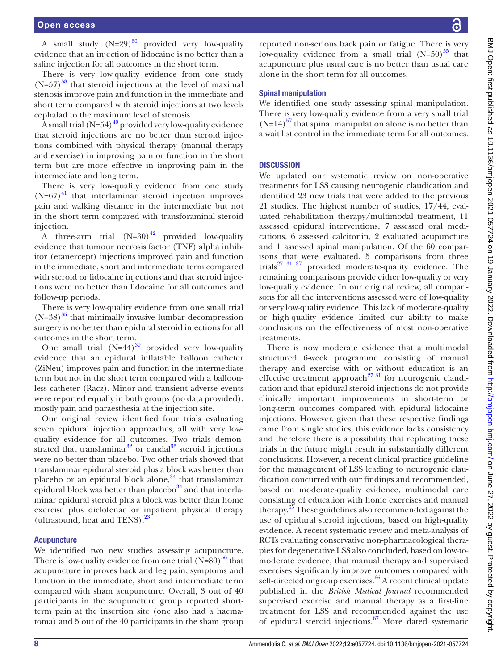A small study  $(N=29)^{36}$  provided very low-quality evidence that an injection of lidocaine is no better than a saline injection for all outcomes in the short term.

There is very low-quality evidence from one study  $(N=57)^{38}$  that steroid injections at the level of maximal stenosis improve pain and function in the immediate and short term compared with steroid injections at two levels cephalad to the maximum level of stenosis.

A small trial  $(N=54)^{40}$  provided very low-quality evidence that steroid injections are no better than steroid injections combined with physical therapy (manual therapy and exercise) in improving pain or function in the short term but are more effective in improving pain in the intermediate and long term.

There is very low-quality evidence from one study  $(N=67)^{41}$  $(N=67)^{41}$  $(N=67)^{41}$  that interlaminar steroid injection improves pain and walking distance in the intermediate but not in the short term compared with transforaminal steroid injection.

A three-arm trial  $(N=30)^{42}$  provided low-quality evidence that tumour necrosis factor (TNF) alpha inhibitor (etanercept) injections improved pain and function in the immediate, short and intermediate term compared with steroid or lidocaine injections and that steroid injections were no better than lidocaine for all outcomes and follow-up periods.

There is very low-quality evidence from one small trial  $(N=38)^{35}$  that minimally invasive lumbar decompression surgery is no better than epidural steroid injections for all outcomes in the short term.

One small trial  $(N=44)^{39}$  provided very low-quality evidence that an epidural inflatable balloon catheter (ZiNeu) improves pain and function in the intermediate term but not in the short term compared with a balloonless catheter (Racz). Minor and transient adverse events were reported equally in both groups (no data provided), mostly pain and paraesthesia at the injection site.

Our original review identified four trials evaluating seven epidural injection approaches, all with very lowquality evidence for all outcomes. Two trials demonstrated that translaminar $32$  or caudal<sup>33</sup> steroid injections were no better than placebo. Two other trials showed that translaminar epidural steroid plus a block was better than placebo or an epidural block alone, $34$  that translaminar epidural block was better than placebo $34$  and that interlaminar epidural steroid plus a block was better than home exercise plus diclofenac or inpatient physical therapy (ultrasound, heat and TENS). $^{23}$  $^{23}$  $^{23}$ 

#### **Acupuncture**

We identified two new studies assessing acupuncture. There is low-quality evidence from one trial  $(N=80)^{56}$  that acupuncture improves back and leg pain, symptoms and function in the immediate, short and intermediate term compared with sham acupuncture. Overall, 3 out of 40 participants in the acupuncture group reported shortterm pain at the insertion site (one also had a haematoma) and 5 out of the 40 participants in the sham group

reported non-serious back pain or fatigue. There is very low-quality evidence from a small trial  $(N=50)^{55}$  that acupuncture plus usual care is no better than usual care alone in the short term for all outcomes.

#### Spinal manipulation

We identified one study assessing spinal manipulation. There is very low-quality evidence from a very small trial  $(N=14)^{57}$  that spinal manipulation alone is no better than a wait list control in the immediate term for all outcomes.

#### **DISCUSSION**

We updated our systematic review on non-operative treatments for LSS causing neurogenic claudication and identified 23 new trials that were added to the previous 21 studies. The highest number of studies, 17/44, evaluated rehabilitation therapy/multimodal treatment, 11 assessed epidural interventions, 7 assessed oral medications, 6 assessed calcitonin, 2 evaluated acupuncture and 1 assessed spinal manipulation. Of the 60 comparisons that were evaluated, 5 comparisons from three trials<sup>27 31 37</sup> provided moderate-quality evidence. The remaining comparisons provide either low-quality or very low-quality evidence. In our original review, all comparisons for all the interventions assessed were of low-quality or very low-quality evidence. This lack of moderate-quality or high-quality evidence limited our ability to make conclusions on the effectiveness of most non-operative treatments.

There is now moderate evidence that a multimodal structured 6-week programme consisting of manual therapy and exercise with or without education is an effective treatment approach<sup>[27 31](#page-10-25)</sup> for neurogenic claudication and that epidural steroid injections do not provide clinically important improvements in short-term or long-term outcomes compared with epidural lidocaine injections. However, given that these respective findings came from single studies, this evidence lacks consistency and therefore there is a possibility that replicating these trials in the future might result in substantially different conclusions. However, a recent clinical practice guideline for the management of LSS leading to neurogenic claudication concurred with our findings and recommended, based on moderate-quality evidence, multimodal care consisting of education with home exercises and manual therapy.<sup>65</sup> These guidelines also recommended against the use of epidural steroid injections, based on high-quality evidence. A recent systematic review and meta-analysis of RCTs evaluating conservative non-pharmacological therapies for degenerative LSS also concluded, based on low-tomoderate evidence, that manual therapy and supervised exercises significantly improve outcomes compared with self-directed or group exercises.<sup>66</sup> A recent clinical update published in the *British Medical Journal* recommended supervised exercise and manual therapy as a first-line treatment for LSS and recommended against the use of epidural steroid injections.<sup>67</sup> More dated systematic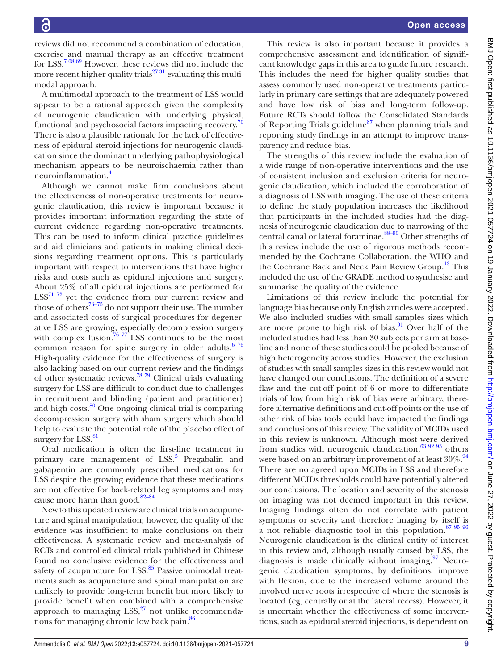reviews did not recommend a combination of education, exercise and manual therapy as an effective treatment for LSS.[7 68 69](#page-9-4) However, these reviews did not include the more recent higher quality trials<sup>2731</sup> evaluating this multimodal approach.

A multimodal approach to the treatment of LSS would appear to be a rational approach given the complexity of neurogenic claudication with underlying physical, functional and psychosocial factors impacting recovery.<sup>70</sup> There is also a plausible rationale for the lack of effectiveness of epidural steroid injections for neurogenic claudication since the dominant underlying pathophysiological mechanism appears to be neuroischaemia rather than neuroinflammation.[4](#page-9-13)

Although we cannot make firm conclusions about the effectiveness of non-operative treatments for neurogenic claudication, this review is important because it provides important information regarding the state of current evidence regarding non-operative treatments. This can be used to inform clinical practice guidelines and aid clinicians and patients in making clinical decisions regarding treatment options. This is particularly important with respect to interventions that have higher risks and costs such as epidural injections and surgery. About 25% of all epidural injections are performed for  $LSS<sup>71 72</sup>$  yet the evidence from our current review and those of others<sup>73–75</sup> do not support their use. The number and associated costs of surgical procedures for degenerative LSS are growing, especially decompression surgery with complex fusion.<sup>76 77</sup> LSS continues to be the most common reason for spine surgery in older adults. $676$ High-quality evidence for the effectiveness of surgery is also lacking based on our current review and the findings of other systematic reviews.[78 79](#page-11-9) Clinical trials evaluating surgery for LSS are difficult to conduct due to challenges in recruitment and blinding (patient and practitioner) and high costs. $80$  One ongoing clinical trial is comparing decompression surgery with sham surgery which should help to evaluate the potential role of the placebo effect of surgery for  $LSS$ .<sup>[81](#page-11-11)</sup>

Oral medication is often the first-line treatment in primary care management of LSS.<sup>[5](#page-9-2)</sup> Pregabalin and gabapentin are commonly prescribed medications for LSS despite the growing evidence that these medications are not effective for back-related leg symptoms and may cause more harm than good. $82-84$ 

New to this updated review are clinical trials on acupuncture and spinal manipulation; however, the quality of the evidence was insufficient to make conclusions on their effectiveness. A systematic review and meta-analysis of RCTs and controlled clinical trials published in Chinese found no conclusive evidence for the effectiveness and safety of acupuncture for LSS.<sup>85</sup> Passive unimodal treatments such as acupuncture and spinal manipulation are unlikely to provide long-term benefit but more likely to provide benefit when combined with a comprehensive approach to managing  $LSS$ ,<sup>27</sup> not unlike recommendations for managing chronic low back pain.<sup>86</sup>

This review is also important because it provides a comprehensive assessment and identification of significant knowledge gaps in this area to guide future research. This includes the need for higher quality studies that assess commonly used non-operative treatments particularly in primary care settings that are adequately powered and have low risk of bias and long-term follow-up. Future RCTs should follow the Consolidated Standards of Reporting Trials guideline $87$  when planning trials and reporting study findings in an attempt to improve transparency and reduce bias.

The strengths of this review include the evaluation of a wide range of non-operative interventions and the use of consistent inclusion and exclusion criteria for neurogenic claudication, which included the corroboration of a diagnosis of LSS with imaging. The use of these criteria to define the study population increases the likelihood that participants in the included studies had the diagnosis of neurogenic claudication due to narrowing of the central canal or lateral foraminae.<sup>88-90</sup> Other strengths of this review include the use of rigorous methods recommended by the Cochrane Collaboration, the WHO and the Cochrane Back and Neck Pain Review Group.<sup>13</sup> This included the use of the GRADE method to synthesise and summarise the quality of the evidence.

Limitations of this review include the potential for language bias because only English articles were accepted. We also included studies with small samples sizes which are more prone to high risk of bias. $\frac{91}{2}$  Over half of the included studies had less than 30 subjects per arm at baseline and none of these studies could be pooled because of high heterogeneity across studies. However, the exclusion of studies with small samples sizes in this review would not have changed our conclusions. The definition of a severe flaw and the cut-off point of 6 or more to differentiate trials of low from high risk of bias were arbitrary, therefore alternative definitions and cut-off points or the use of other risk of bias tools could have impacted the findings and conclusions of this review. The validity of MCIDs used in this review is unknown. Although most were derived from studies with neurogenic claudication,  $639293$  others were based on an arbitrary improvement of at least  $30\%$ .<sup>[94](#page-11-18)</sup> There are no agreed upon MCIDs in LSS and therefore different MCIDs thresholds could have potentially altered our conclusions. The location and severity of the stenosis on imaging was not deemed important in this review. Imaging findings often do not correlate with patient symptoms or severity and therefore imaging by itself is a not reliable diagnostic tool in this population.[67 95 96](#page-11-4) Neurogenic claudication is the clinical entity of interest in this review and, although usually caused by LSS, the diagnosis is made clinically without imaging. $97$  Neurogenic claudication symptoms, by definitions, improve with flexion, due to the increased volume around the involved nerve roots irrespective of where the stenosis is located (eg, centrally or at the lateral recess). However, it is uncertain whether the effectiveness of some interventions, such as epidural steroid injections, is dependent on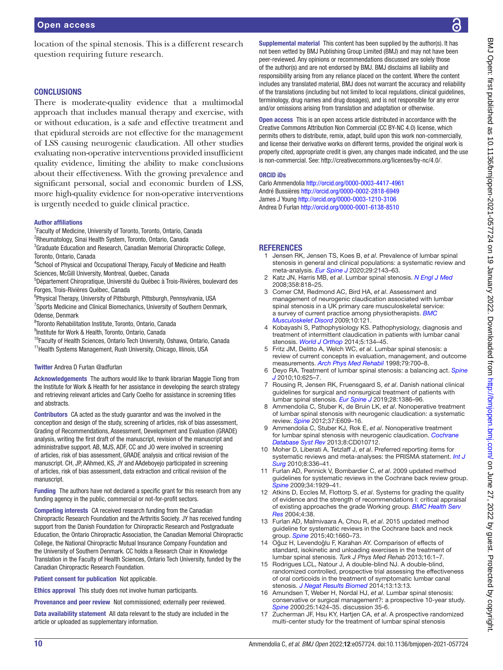#### **CONCLUSIONS**

There is moderate-quality evidence that a multimodal approach that includes manual therapy and exercise, with or without education, is a safe and effective treatment and that epidural steroids are not effective for the management of LSS causing neurogenic claudication. All other studies evaluating non-operative interventions provided insufficient quality evidence, limiting the ability to make conclusions about their effectiveness. With the growing prevalence and significant personal, social and economic burden of LSS, more high-quality evidence for non-operative interventions is urgently needed to guide clinical practice.

#### Author affiliations

- <sup>1</sup> Faculty of Medicine, University of Toronto, Toronto, Ontario, Canada
- <sup>2</sup>Rheumatology, Sinai Health System, Toronto, Ontario, Canada
- <sup>3</sup>Graduate Education and Research, Canadian Memorial Chiropractic College, Toronto, Ontario, Canada
- 4 School of Physical and Occupational Therapy, Faculy of Medicine and Health Sciences, McGill University, Montreal, Quebec, Canada
- 5 Département Chiropratique, Université du Québec à Trois-Rivières, boulevard des Forges, Trois-Rivières Québec, Canada
- 6 Physical Therapy, University of Pittsburgh, Pittsburgh, Pennsylvania, USA <sup>7</sup>Sports Medicine and Clinical Biomechanics, University of Southern Denmark, Odense, Denmark
- 8 Toronto Rehabilitation Institute, Toronto, Ontario, Canada
- <sup>9</sup>Institute for Work & Health, Toronto, Ontario, Canada
- <sup>10</sup>Faculty of Health Sciences, Ontario Tech University, Oshawa, Ontario, Canada <sup>11</sup> Health Systems Management, Rush University, Chicago, Illinois, USA

#### Twitter Andrea D Furlan [@adfurlan](https://twitter.com/adfurlan)

Acknowledgements The authors would like to thank librarian Maggie Tiong from the Institute for Work & Health for her assistance in developing the search strategy and retrieving relevant articles and Carly Coelho for assistance in screening titles and abstracts.

Contributors CA acted as the study guarantor and was the involved in the conception and design of the study, screening of articles, risk of bias assessment, Grading of Recommendations, Assessment, Development and Evaluation (GRADE) analysis, writing the first draft of the manuscript, revision of the manuscript and administrative support. AB, MJS, ADF, CC and JO were involved in screening of articles, risk of bias assessment, GRADE analysis and critical revision of the manuscript. CH, JP, AAhmed, KS, JY and AAdeboyejo participated in screening of articles, risk of bias assessment, data extraction and critical revision of the manuscript.

Funding The authors have not declared a specific grant for this research from any funding agency in the public, commercial or not-for-profit sectors.

Competing interests CA received research funding from the Canadian Chiropractic Research Foundation and the Arthritis Society. JY has received funding support from the Danish Foundation for Chiropractic Research and Postgraduate Education, the Ontario Chiropractic Association, the Canadian Memorial Chiropractic College, the National Chiropractic Mutual Insurance Company Foundation and the University of Southern Denmark. CC holds a Research Chair in Knowledge Translation in the Faculty of Health Sciences, Ontario Tech University, funded by the Canadian Chiropractic Research Foundation.

Patient consent for publication Not applicable.

Ethics approval This study does not involve human participants.

Provenance and peer review Not commissioned; externally peer reviewed.

Data availability statement All data relevant to the study are included in the article or uploaded as supplementary information.

Supplemental material This content has been supplied by the author(s). It has not been vetted by BMJ Publishing Group Limited (BMJ) and may not have been peer-reviewed. Any opinions or recommendations discussed are solely those of the author(s) and are not endorsed by BMJ. BMJ disclaims all liability and responsibility arising from any reliance placed on the content. Where the content includes any translated material, BMJ does not warrant the accuracy and reliability of the translations (including but not limited to local regulations, clinical guidelines, terminology, drug names and drug dosages), and is not responsible for any error and/or omissions arising from translation and adaptation or otherwise.

Open access This is an open access article distributed in accordance with the Creative Commons Attribution Non Commercial (CC BY-NC 4.0) license, which permits others to distribute, remix, adapt, build upon this work non-commercially, and license their derivative works on different terms, provided the original work is properly cited, appropriate credit is given, any changes made indicated, and the use is non-commercial. See: [http://creativecommons.org/licenses/by-nc/4.0/.](http://creativecommons.org/licenses/by-nc/4.0/)

#### ORCID iDs

Carlo Ammendolia <http://orcid.org/0000-0003-4417-4961> André Bussières <http://orcid.org/0000-0002-2818-6949> James J Young<http://orcid.org/0000-0003-1210-3106> Andrea D Furlan<http://orcid.org/0000-0001-6138-8510>

#### REFERENCES

- <span id="page-9-0"></span>1 Jensen RK, Jensen TS, Koes B, *et al*. Prevalence of lumbar spinal stenosis in general and clinical populations: a systematic review and meta-analysis. *[Eur Spine J](http://dx.doi.org/10.1007/s00586-020-06339-1)* 2020;29:2143–63.
- <span id="page-9-1"></span>2 Katz JN, Harris MB, *et al*. Lumbar spinal stenosis. *[N Engl J Med](http://dx.doi.org/10.1056/NEJMcp0708097)* 2008;358:818–25.
- 3 Comer CM, Redmond AC, Bird HA, *et al*. Assessment and management of neurogenic claudication associated with lumbar spinal stenosis in a UK primary care musculoskeletal service: a survey of current practice among physiotherapists. *[BMC](http://dx.doi.org/10.1186/1471-2474-10-121)  [Musculoskelet Disord](http://dx.doi.org/10.1186/1471-2474-10-121)* 2009;10:121.
- <span id="page-9-13"></span>4 Kobayashi S, Pathophysiology KS. Pathophysiology, diagnosis and treatment of intermittent claudication in patients with lumbar canal stenosis. *[World J Orthop](http://dx.doi.org/10.5312/wjo.v5.i2.134)* 2014;5:134–45.
- <span id="page-9-2"></span>5 Fritz JM, Delitto A, Welch WC, *et al*. Lumbar spinal stenosis: a review of current concepts in evaluation, management, and outcome measurements. *[Arch Phys Med Rehabil](http://dx.doi.org/10.1016/S0003-9993(98)90048-X)* 1998;79:700–8.
- <span id="page-9-3"></span>6 Deyo RA. Treatment of lumbar spinal stenosis: a balancing act. *[Spine](http://dx.doi.org/10.1016/j.spinee.2010.05.006)  [J](http://dx.doi.org/10.1016/j.spinee.2010.05.006)* 2010;10:625–7.
- <span id="page-9-4"></span>7 Rousing R, Jensen RK, Fruensgaard S, *et al*. Danish national clinical guidelines for surgical and nonsurgical treatment of patients with lumbar spinal stenosis. *[Eur Spine J](http://dx.doi.org/10.1007/s00586-019-05987-2)* 2019;28:1386–96.
- <span id="page-9-5"></span>8 Ammendolia C, Stuber K, de Bruin LK, *et al*. Nonoperative treatment of lumbar spinal stenosis with neurogenic claudication: a systematic review. *[Spine](http://dx.doi.org/10.1097/BRS.0b013e318240d57d)* 2012;37:E609–16.
- 9 Ammendolia C, Stuber KJ, Rok E, *et al*. Nonoperative treatment for lumbar spinal stenosis with neurogenic claudication. *[Cochrane](http://dx.doi.org/10.1002/14651858.CD010712)  [Database Syst Rev](http://dx.doi.org/10.1002/14651858.CD010712)* 2013;8:CD010712.
- <span id="page-9-6"></span>10 Moher D, Liberati A, Tetzlaff J, *et al*. Preferred reporting items for systematic reviews and meta-analyses: the PRISMA statement. *[Int J](http://dx.doi.org/10.1016/j.ijsu.2010.02.007)  [Surg](http://dx.doi.org/10.1016/j.ijsu.2010.02.007)* 2010;8:336–41.
- <span id="page-9-7"></span>11 Furlan AD, Pennick V, Bombardier C, *et al*. 2009 updated method guidelines for systematic reviews in the Cochrane back review group. *[Spine](http://dx.doi.org/10.1097/BRS.0b013e3181b1c99f)* 2009;34:1929–41.
- <span id="page-9-8"></span>12 Atkins D, Eccles M, Flottorp S, *et al*. Systems for grading the quality of evidence and the strength of recommendations I: critical appraisal of existing approaches the grade Working group. *[BMC Health Serv](http://dx.doi.org/10.1186/1472-6963-4-38)  [Res](http://dx.doi.org/10.1186/1472-6963-4-38)* 2004;4:38.
- <span id="page-9-14"></span>13 Furlan AD, Malmivaara A, Chou R, *et al*. 2015 updated method guideline for systematic reviews in the Cochrane back and neck group. *[Spine](http://dx.doi.org/10.1097/BRS.0000000000001061)* 2015;40:1660–73.
- <span id="page-9-9"></span>14 Oğuz H, Levendoğlu F, Karahan AY. Comparison of effects of standard, isokinetic and unloading exercises in the treatment of lumbar spinal stenosis. *Turk J Phys Med Rehab* 2013;16:1–7.
- <span id="page-9-10"></span>15 Rodrigues LCL, Natour J, A double-blind NJ. A double-blind, randomized controlled, prospective trial assessing the effectiveness of oral corticoids in the treatment of symptomatic lumbar canal stenosis. *[J Negat Results Biomed](http://dx.doi.org/10.1186/1477-5751-13-13)* 2014;13:13:13.
- <span id="page-9-11"></span>16 Amundsen T, Weber H, Nordal HJ, *et al*. Lumbar spinal stenosis: conservative or surgical management?: a prospective 10-year study. *[Spine](http://dx.doi.org/10.1097/00007632-200006010-00016)* 2000;25:1424–35. discussion 35-6.
- <span id="page-9-12"></span>17 Zucherman JF, Hsu KY, Hartjen CA, *et al*. A prospective randomized multi-center study for the treatment of lumbar spinal stenosis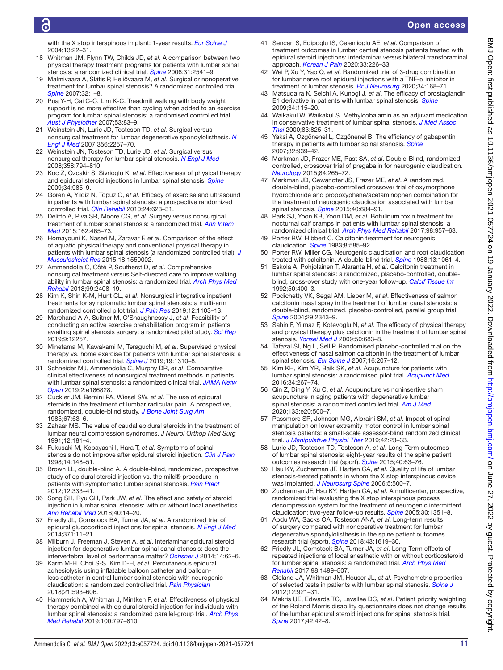## Õ

### Open access

with the X stop interspinous implant: 1-year results. *[Eur Spine J](http://dx.doi.org/10.1007/s00586-003-0581-4)* 2004;13:22–31.

- <span id="page-10-4"></span>18 Whitman JM, Flynn TW, Childs JD, *et al*. A comparison between two physical therapy treatment programs for patients with lumbar spinal stenosis: a randomized clinical trial. *[Spine](http://dx.doi.org/10.1097/01.brs.0000241136.98159.8c)* 2006;31:2541–9.
- <span id="page-10-5"></span>19 Malmivaara A, Slätis P, Heliövaara M, *et al*. Surgical or nonoperative treatment for lumbar spinal stenosis? A randomized controlled trial. *[Spine](http://dx.doi.org/10.1097/01.brs.0000251014.81875.6d)* 2007;32:1–8.
- <span id="page-10-22"></span>20 Pua Y-H, Cai C-C, Lim K-C. Treadmill walking with body weight support is no more effective than cycling when added to an exercise program for lumbar spinal stenosis: a randomised controlled trial. *[Aust J Physiother](http://dx.doi.org/10.1016/S0004-9514(07)70040-5)* 2007;53:83–9.
- <span id="page-10-6"></span>21 Weinstein JN, Lurie JD, Tosteson TD, *et al*. Surgical versus nonsurgical treatment for lumbar degenerative spondylolisthesis. *[N](http://dx.doi.org/10.1056/NEJMoa070302)  [Engl J Med](http://dx.doi.org/10.1056/NEJMoa070302)* 2007;356:2257–70.
- <span id="page-10-43"></span>22 Weinstein JN, Tosteson TD, Lurie JD, *et al*. Surgical versus nonsurgical therapy for lumbar spinal stenosis. *[N Engl J Med](http://dx.doi.org/10.1056/NEJMoa0707136)* 2008;358:794–810.
- <span id="page-10-21"></span>23 Koc Z, Ozcakir S, Sivrioglu K, *et al*. Effectiveness of physical therapy and epidural steroid injections in lumbar spinal stenosis. *[Spine](http://dx.doi.org/10.1097/BRS.0b013e31819c0a6b)* 2009;34:985–9.
- <span id="page-10-20"></span>24 Goren A, Yildiz N, Topuz O, *et al*. Efficacy of exercise and ultrasound in patients with lumbar spinal stenosis: a prospective randomized controlled trial. *[Clin Rehabil](http://dx.doi.org/10.1177/0269215510367539)* 2010;24:623–31.
- <span id="page-10-45"></span>25 Delitto A, Piva SR, Moore CG, *et al*. Surgery versus nonsurgical treatment of lumbar spinal stenosis: a randomized trial. *[Ann Intern](http://dx.doi.org/10.7326/M14-1420)  [Med](http://dx.doi.org/10.7326/M14-1420)* 2015;162:465–73.
- <span id="page-10-9"></span>26 Homayouni K, Naseri M, Zaravar F, *et al*. Comparison of the effect of aquatic physical therapy and conventional physical therapy in patients with lumbar spinal stenosis (a randomized controlled trial). *[J](http://dx.doi.org/10.1142/S0218957715500025)  [Musculoskelet Res](http://dx.doi.org/10.1142/S0218957715500025)* 2015;18:1550002.
- <span id="page-10-25"></span>27 Ammendolia C, Côté P, Southerst D, *et al*. Comprehensive nonsurgical treatment versus Self-directed care to improve walking ability in lumbar spinal stenosis: a randomized trial. *[Arch Phys Med](http://dx.doi.org/10.1016/j.apmr.2018.05.014)  [Rehabil](http://dx.doi.org/10.1016/j.apmr.2018.05.014)* 2018;99:2408–19.
- <span id="page-10-27"></span>28 Kim K, Shin K-M, Hunt CL, *et al*. Nonsurgical integrative inpatient treatments for symptomatic lumbar spinal stenosis: a multi-arm randomized controlled pilot trial. *[J Pain Res](http://dx.doi.org/10.2147/JPR.S173178)* 2019;12:1103–13.
- <span id="page-10-26"></span>29 Marchand A-A, Suitner M, O'Shaughnessy J, *et al*. Feasibility of conducting an active exercise prehabilitation program in patients awaiting spinal stenosis surgery: a randomized pilot study. *[Sci Rep](http://dx.doi.org/10.1038/s41598-019-48736-7)* 2019;9:12257.
- <span id="page-10-23"></span>30 Minetama M, Kawakami M, Teraguchi M, *et al*. Supervised physical therapy vs. home exercise for patients with lumbar spinal stenosis: a randomized controlled trial. *[Spine J](http://dx.doi.org/10.1016/j.spinee.2019.04.009)* 2019;19:1310–8.
- <span id="page-10-24"></span>31 Schneider MJ, Ammendolia C, Murphy DR, *et al*. Comparative clinical effectiveness of nonsurgical treatment methods in patients with lumbar spinal stenosis: a randomized clinical trial. *[JAMA Netw](http://dx.doi.org/10.1001/jamanetworkopen.2018.6828)  [Open](http://dx.doi.org/10.1001/jamanetworkopen.2018.6828)* 2019;2:e186828.
- <span id="page-10-0"></span>32 Cuckler JM, Bernini PA, Wiesel SW, *et al*. The use of epidural steroids in the treatment of lumbar radicular pain. A prospective, randomized, double-blind study. *[J Bone Joint Surg Am](http://dx.doi.org/10.2106/00004623-198567010-00009)* 1985;67:63–6.
- <span id="page-10-30"></span>33 Zahaar MS. The value of caudal epidural steroids in the treatment of lumbar neural compression syndromes. *J Neurol Orthop Med Surg* 1991;12:181–4.
- <span id="page-10-29"></span>34 Fukusaki M, Kobayashi I, Hara T, *et al*. Symptoms of spinal stenosis do not improve after epidural steroid injection. *[Clin J Pain](http://dx.doi.org/10.1097/00002508-199806000-00010)* 1998;14:148–51.
- <span id="page-10-31"></span>35 Brown LL, double-blind A. A double-blind, randomized, prospective study of epidural steroid injection vs. the mild® procedure in patients with symptomatic lumbar spinal stenosis. *[Pain Pract](http://dx.doi.org/10.1111/j.1533-2500.2011.00518.x)* 2012;12:333–41.
- <span id="page-10-35"></span>36 Song SH, Ryu GH, Park JW, *et al*. The effect and safety of steroid injection in lumbar spinal stenosis: with or without local anesthetics. *[Ann Rehabil Med](http://dx.doi.org/10.5535/arm.2016.40.1.14)* 2016;40:14–20.
- <span id="page-10-32"></span>37 Friedly JL, Comstock BA, Turner JA, *et al*. A randomized trial of epidural glucocorticoid injections for spinal stenosis. *[N Engl J Med](http://dx.doi.org/10.1056/NEJMoa1313265)* 2014;371:11–21.
- <span id="page-10-36"></span>38 Milburn J, Freeman J, Steven A, *et al*. Interlaminar epidural steroid injection for degenerative lumbar spinal canal stenosis: does the intervertebral level of performance matter? *[Ochsner J](http://www.ncbi.nlm.nih.gov/pubmed/24688335)* 2014;14:62–6.
- <span id="page-10-39"></span>39 Karm M-H, Choi S-S, Kim D-H, *et al*. Percutaneous epidural adhesiolysis using inflatable balloon catheter and balloonless catheter in central lumbar spinal stenosis with neurogenic claudication: a randomized controlled trial. *[Pain Physician](http://www.ncbi.nlm.nih.gov/pubmed/30508987)* 2018;21:593–606.
- <span id="page-10-8"></span>40 Hammerich A, Whitman J, Mintken P, *et al*. Effectiveness of physical therapy combined with epidural steroid injection for individuals with lumbar spinal stenosis: a randomized parallel-group trial. *[Arch Phys](http://dx.doi.org/10.1016/j.apmr.2018.12.035)  [Med Rehabil](http://dx.doi.org/10.1016/j.apmr.2018.12.035)* 2019;100:797–810.
- <span id="page-10-37"></span>41 Sencan S, Edipoglu IS, Celenlioglu AE, *et al*. Comparison of treatment outcomes in lumbar central stenosis patients treated with epidural steroid injections: interlaminar *versus* bilateral transforaminal approach. *[Korean J Pain](http://dx.doi.org/10.3344/kjp.2020.33.3.226)* 2020;33:226–33.
- <span id="page-10-38"></span>42 Wei P, Xu Y, Yao Q, *et al*. Randomized trial of 3-drug combination for lumbar nerve root epidural injections with a TNF- $\alpha$  inhibitor in treatment of lumbar stenosis. *[Br J Neurosurg](http://dx.doi.org/10.1080/02688697.2020.1713990)* 2020;34:168–71.
- <span id="page-10-12"></span>43 Matsudaira K, Seichi A, Kunogi J, *et al*. The efficacy of prostaglandin E1 derivative in patients with lumbar spinal stenosis. *[Spine](http://dx.doi.org/10.1097/BRS.0b013e31818f924d)* 2009;34:115–20.
- <span id="page-10-14"></span>Waikakul W, Waikakul S. Methylcobalamin as an adjuvant medication in conservative treatment of lumbar spinal stenosis. *[J Med Assoc](http://www.ncbi.nlm.nih.gov/pubmed/10998833)  [Thai](http://www.ncbi.nlm.nih.gov/pubmed/10998833)* 2000;83:825–31.
- <span id="page-10-13"></span>45 Yaksi A, Ozgönenel L, Ozgönenel B. The efficiency of gabapentin therapy in patients with lumbar spinal stenosis. *[Spine](http://dx.doi.org/10.1097/01.brs.0000261029.29170.e6)* 2007;32:939–42.
- <span id="page-10-10"></span>46 Markman JD, Frazer ME, Rast SA, *et al*. Double-Blind, randomized, controlled, crossover trial of pregabalin for neurogenic claudication. *[Neurology](http://dx.doi.org/10.1212/WNL.0000000000001168)* 2015;84:265–72.
- <span id="page-10-7"></span>47 Markman JD, Gewandter JS, Frazer ME, *et al*. A randomized, double-blind, placebo-controlled crossover trial of oxymorphone hydrochloride and propoxyphene/acetaminophen combination for the treatment of neurogenic claudication associated with lumbar spinal stenosis. *[Spine](http://dx.doi.org/10.1097/BRS.0000000000000837)* 2015;40:684–91.
- <span id="page-10-11"></span>48 Park SJ, Yoon KB, Yoon DM, *et al*. Botulinum toxin treatment for nocturnal calf cramps in patients with lumbar spinal stenosis: a randomized clinical trial. *[Arch Phys Med Rehabil](http://dx.doi.org/10.1016/j.apmr.2017.01.017)* 2017;98:957–63.
- <span id="page-10-1"></span>49 Porter RW, Hibbert C. Calcitonin treatment for neurogenic claudication. *[Spine](http://dx.doi.org/10.1097/00007632-198309000-00004)* 1983;8:585–92.
- <span id="page-10-16"></span>50 Porter RW, Miller CG. Neurogenic claudication and root claudication treated with calcitonin. A double-blind trial. *[Spine](http://dx.doi.org/10.1097/00007632-198809000-00015)* 1988;13:1061–4.
- <span id="page-10-15"></span>51 Eskola A, Pohjolainen T, Alaranta H, *et al*. Calcitonin treatment in lumbar spinal stenosis: a randomized, placebo-controlled, doubleblind, cross-over study with one-year follow-up. *[Calcif Tissue Int](http://dx.doi.org/10.1007/BF00296769)* 1992;50:400–3.
- <span id="page-10-17"></span>52 Podichetty VK, Segal AM, Lieber M, *et al*. Effectiveness of salmon calcitonin nasal spray in the treatment of lumbar canal stenosis: a double-blind, randomized, placebo-controlled, parallel group trial. *[Spine](http://dx.doi.org/10.1097/01.brs.0000143807.78082.7f)* 2004;29:2343–9.
- <span id="page-10-19"></span>53 Sahin F, Yilmaz F, Kotevoglu N, *et al*. The efficacy of physical therapy and physical therapy plus calcitonin in the treatment of lumbar spinal stenosis. *[Yonsei Med J](http://dx.doi.org/10.3349/ymj.2009.50.5.683)* 2009;50:683–8.
- <span id="page-10-18"></span>54 Tafazal SI, Ng L, Sell P. Randomised placebo-controlled trial on the effectiveness of nasal salmon calcitonin in the treatment of lumbar spinal stenosis. *[Eur Spine J](http://dx.doi.org/10.1007/s00586-006-0154-4)* 2007;16:207–12.
- <span id="page-10-2"></span>55 Kim KH, Kim YR, Baik SK, *et al*. Acupuncture for patients with lumbar spinal stenosis: a randomised pilot trial. *[Acupunct Med](http://dx.doi.org/10.1136/acupmed-2015-010962)* 2016;34:267–74.
- <span id="page-10-28"></span>56 Qin Z, Ding Y, Xu C, *et al*. Acupuncture vs noninsertive sham acupuncture in aging patients with degenerative lumbar spinal stenosis: a randomized controlled trial. *[Am J Med](http://dx.doi.org/10.1016/j.amjmed.2019.08.038)* 2020;133:e20:500–7.
- <span id="page-10-3"></span>57 Passmore SR, Johnson MG, Aloraini SM, *et al*. Impact of spinal manipulation on lower extremity motor control in lumbar spinal stenosis patients: a small-scale assessor-blind randomized clinical trial. *[J Manipulative Physiol Ther](http://dx.doi.org/10.1016/j.jmpt.2018.10.002)* 2019;42:23–33.
- <span id="page-10-44"></span>58 Lurie JD, Tosteson TD, Tosteson A, *et al*. Long-Term outcomes of lumbar spinal stenosis: eight-year results of the spine patient outcomes research trial (sport). *[Spine](http://dx.doi.org/10.1097/BRS.0000000000000731)* 2015;40:63–76.
- <span id="page-10-41"></span>59 Hsu KY, Zucherman JF, Hartjen CA, *et al*. Quality of life of lumbar stenosis-treated patients in whom the X stop interspinous device was implanted. *[J Neurosurg Spine](http://dx.doi.org/10.3171/spi.2006.5.6.500)* 2006;5:500–7.
- <span id="page-10-40"></span>60 Zucherman JF, Hsu KY, Hartjen CA, *et al*. A multicenter, prospective, randomized trial evaluating the X stop interspinous process decompression system for the treatment of neurogenic intermittent claudication: two-year follow-up results. *[Spine](http://dx.doi.org/10.1097/01.brs.0000166618.42749.d1)* 2005;30:1351–8.
- <span id="page-10-42"></span>61 Abdu WA, Sacks OA, Tosteson ANA, *et al*. Long-term results of surgery compared with nonoperative treatment for lumbar degenerative spondylolisthesis in the spine patient outcomes research trial (sport). *[Spine](http://dx.doi.org/10.1097/BRS.0000000000002682)* 2018;43:1619–30.
- <span id="page-10-33"></span>62 Friedly JL, Comstock BA, Turner JA, *et al*. Long-Term effects of repeated injections of local anesthetic with or without corticosteroid for lumbar spinal stenosis: a randomized trial. *[Arch Phys Med](http://dx.doi.org/10.1016/j.apmr.2017.02.029)  [Rehabil](http://dx.doi.org/10.1016/j.apmr.2017.02.029)* 2017;98:1499–507.
- <span id="page-10-46"></span>63 Cleland JA, Whitman JM, Houser JL, *et al*. Psychometric properties of selected tests in patients with lumbar spinal stenosis. *[Spine J](http://dx.doi.org/10.1016/j.spinee.2012.05.004)* 2012;12:921–31.
- <span id="page-10-34"></span>64 Makris UE, Edwards TC, Lavallee DC, *et al*. Patient priority weighting of the Roland Morris disability questionnaire does not change results of the lumbar epidural steroid injections for spinal stenosis trial. *[Spine](http://dx.doi.org/10.1097/BRS.0000000000001647)* 2017;42:42–8.